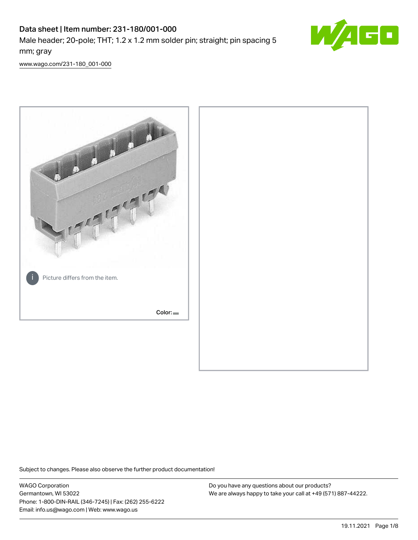# Data sheet | Item number: 231-180/001-000 Male header; 20-pole; THT; 1.2 x 1.2 mm solder pin; straight; pin spacing 5 mm; gray



[www.wago.com/231-180\\_001-000](http://www.wago.com/231-180_001-000)



Subject to changes. Please also observe the further product documentation!

WAGO Corporation Germantown, WI 53022 Phone: 1-800-DIN-RAIL (346-7245) | Fax: (262) 255-6222 Email: info.us@wago.com | Web: www.wago.us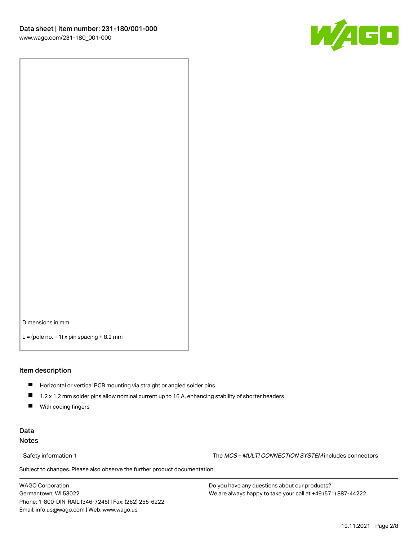![](_page_1_Picture_1.jpeg)

Dimensions in mm

 $L =$  (pole no.  $-1$ ) x pin spacing  $+8.2$  mm

#### Item description

- **Horizontal or vertical PCB mounting via straight or angled solder pins**
- 1.2 x 1.2 mm solder pins allow nominal current up to 16 A, enhancing stability of shorter headers
- $\blacksquare$ With coding fingers

#### Data Notes

Safety information 1 The MCS – MULTI CONNECTION SYSTEM includes connectors

Subject to changes. Please also observe the further product documentation!  $\nu$ 

WAGO Corporation Germantown, WI 53022 Phone: 1-800-DIN-RAIL (346-7245) | Fax: (262) 255-6222 Email: info.us@wago.com | Web: www.wago.us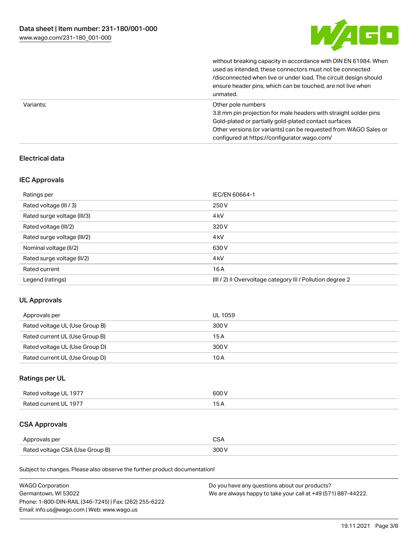![](_page_2_Picture_1.jpeg)

|           | without breaking capacity in accordance with DIN EN 61984. When<br>used as intended, these connectors must not be connected<br>/disconnected when live or under load. The circuit design should<br>ensure header pins, which can be touched, are not live when<br>unmated. |
|-----------|----------------------------------------------------------------------------------------------------------------------------------------------------------------------------------------------------------------------------------------------------------------------------|
| Variants: | Other pole numbers<br>3.8 mm pin projection for male headers with straight solder pins<br>Gold-plated or partially gold-plated contact surfaces<br>Other versions (or variants) can be requested from WAGO Sales or<br>configured at https://configurator.wago.com/        |

### Electrical data

#### IEC Approvals

| Ratings per                 | IEC/EN 60664-1                                            |
|-----------------------------|-----------------------------------------------------------|
| Rated voltage (III / 3)     | 250 V                                                     |
| Rated surge voltage (III/3) | 4 <sub>k</sub> V                                          |
| Rated voltage (III/2)       | 320 V                                                     |
| Rated surge voltage (III/2) | 4 <sub>k</sub> V                                          |
| Nominal voltage (II/2)      | 630 V                                                     |
| Rated surge voltage (II/2)  | 4 <sub>k</sub> V                                          |
| Rated current               | 16A                                                       |
| Legend (ratings)            | (III / 2) ≙ Overvoltage category III / Pollution degree 2 |

## UL Approvals

| Approvals per                  | UL 1059 |
|--------------------------------|---------|
| Rated voltage UL (Use Group B) | 300 V   |
| Rated current UL (Use Group B) | 15 A    |
| Rated voltage UL (Use Group D) | 300 V   |
| Rated current UL (Use Group D) | 10 A    |

## Ratings per UL

| Rated voltage UL 1977 | 600 V |
|-----------------------|-------|
| Rated current UL 1977 |       |

## CSA Approvals

| Approvals per                   | ~~    |
|---------------------------------|-------|
| Rated voltage CSA (Use Group B) | 3UU 1 |

Subject to changes. Please also observe the further product documentation!

| <b>WAGO Corporation</b>                                | Do you have any questions about our products?                 |
|--------------------------------------------------------|---------------------------------------------------------------|
| Germantown, WI 53022                                   | We are always happy to take your call at +49 (571) 887-44222. |
| Phone: 1-800-DIN-RAIL (346-7245)   Fax: (262) 255-6222 |                                                               |
| Email: info.us@wago.com   Web: www.wago.us             |                                                               |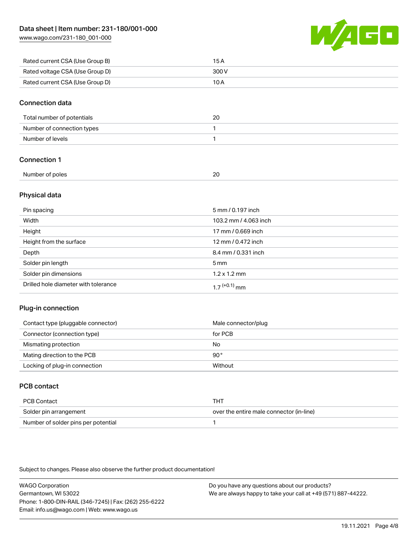[www.wago.com/231-180\\_001-000](http://www.wago.com/231-180_001-000)

![](_page_3_Picture_2.jpeg)

| Rated current CSA (Use Group B) | 15 A  |
|---------------------------------|-------|
| Rated voltage CSA (Use Group D) | 300 V |
| Rated current CSA (Use Group D) | 10 A  |

#### Connection data

| Total number of potentials | 20 |
|----------------------------|----|
| Number of connection types |    |
| Number of levels           |    |

### Connection 1

| Number of poles<br>n r<br>.<br>$\sim$ |  |
|---------------------------------------|--|
|                                       |  |

#### Physical data

| Pin spacing                          | 5 mm / 0.197 inch           |
|--------------------------------------|-----------------------------|
| Width                                | 103.2 mm / 4.063 inch       |
| Height                               | 17 mm / 0.669 inch          |
| Height from the surface              | 12 mm / 0.472 inch          |
| Depth                                | 8.4 mm / 0.331 inch         |
| Solder pin length                    | $5 \,\mathrm{mm}$           |
| Solder pin dimensions                | $1.2 \times 1.2 \text{ mm}$ |
| Drilled hole diameter with tolerance | $17^{(+0.1)}$ mm            |

#### Plug-in connection

| Contact type (pluggable connector) | Male connector/plug |
|------------------------------------|---------------------|
| Connector (connection type)        | for PCB             |
| Mismating protection               | No                  |
| Mating direction to the PCB        | 90°                 |
| Locking of plug-in connection      | Without             |

## PCB contact

| PCB Contact                         | THT                                      |
|-------------------------------------|------------------------------------------|
| Solder pin arrangement              | over the entire male connector (in-line) |
| Number of solder pins per potential |                                          |

Subject to changes. Please also observe the further product documentation!

WAGO Corporation Germantown, WI 53022 Phone: 1-800-DIN-RAIL (346-7245) | Fax: (262) 255-6222 Email: info.us@wago.com | Web: www.wago.us Do you have any questions about our products? We are always happy to take your call at +49 (571) 887-44222.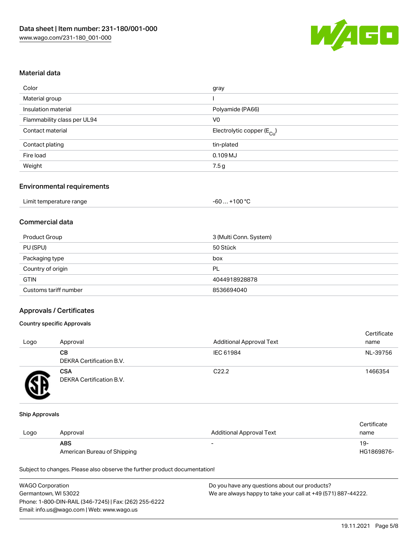![](_page_4_Picture_1.jpeg)

#### Material data

| Color                       | gray                                   |
|-----------------------------|----------------------------------------|
| Material group              |                                        |
| Insulation material         | Polyamide (PA66)                       |
| Flammability class per UL94 | V <sub>0</sub>                         |
| Contact material            | Electrolytic copper (E <sub>Cu</sub> ) |
| Contact plating             | tin-plated                             |
| Fire load                   | $0.109$ MJ                             |
| Weight                      | 7.5 g                                  |

#### Environmental requirements

| Limit temperature range | $+100 °C$<br>-60 |
|-------------------------|------------------|
|-------------------------|------------------|

## Commercial data

| Product Group         | 3 (Multi Conn. System) |
|-----------------------|------------------------|
| PU (SPU)              | 50 Stück               |
| Packaging type        | box                    |
| Country of origin     | PL                     |
| <b>GTIN</b>           | 4044918928878          |
| Customs tariff number | 8536694040             |

#### Approvals / Certificates

#### Country specific Approvals

| Logo | Approval                               | <b>Additional Approval Text</b> | Certificate<br>name |
|------|----------------------------------------|---------------------------------|---------------------|
|      | CВ<br><b>DEKRA Certification B.V.</b>  | IEC 61984                       | NL-39756            |
|      | <b>CSA</b><br>DEKRA Certification B.V. | C <sub>22.2</sub>               | 1466354             |

#### Ship Approvals

|      |                             |                                 | Certificate |
|------|-----------------------------|---------------------------------|-------------|
| Logo | Approval                    | <b>Additional Approval Text</b> | name        |
|      | <b>ABS</b>                  | $\overline{\phantom{0}}$        | -19         |
|      | American Bureau of Shipping |                                 | HG1869876-  |

Subject to changes. Please also observe the further product documentation!

| <b>WAGO Corporation</b>                                | Do you have any questions about our products?                 |
|--------------------------------------------------------|---------------------------------------------------------------|
| Germantown, WI 53022                                   | We are always happy to take your call at +49 (571) 887-44222. |
| Phone: 1-800-DIN-RAIL (346-7245)   Fax: (262) 255-6222 |                                                               |
| Email: info.us@wago.com   Web: www.wago.us             |                                                               |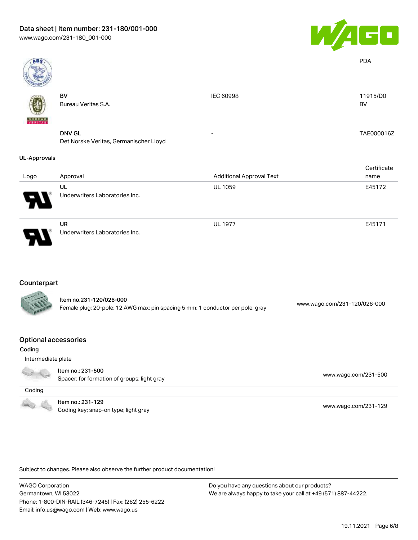![](_page_5_Picture_1.jpeg)

| <b>ABS</b>          |                                                         |                                 | <b>PDA</b>     |
|---------------------|---------------------------------------------------------|---------------------------------|----------------|
| <b>VERITAS</b>      | <b>BV</b><br>Bureau Veritas S.A.                        | IEC 60998                       | 11915/D0<br>BV |
|                     | <b>DNV GL</b><br>Det Norske Veritas, Germanischer Lloyd |                                 | TAE000016Z     |
| <b>UL-Approvals</b> |                                                         |                                 |                |
|                     |                                                         |                                 | Certificate    |
| Logo                | Approval                                                | <b>Additional Approval Text</b> | name           |
|                     | UL<br>Underwriters Laboratories Inc.                    | UL 1059                         | E45172         |
|                     | UR<br>Underwriters Laboratories Inc.                    | <b>UL 1977</b>                  | E45171         |

## Counterpart

| <b>CALLAS</b> | Item no.231-120/026-000<br>Female plug; 20-pole; 12 AWG max; pin spacing 5 mm; 1 conductor per pole; gray | www.wago.com/231-120/026-000 |
|---------------|-----------------------------------------------------------------------------------------------------------|------------------------------|
|               |                                                                                                           |                              |

#### Optional accessories

| Coding             |                                                                  |                      |
|--------------------|------------------------------------------------------------------|----------------------|
| Intermediate plate |                                                                  |                      |
|                    | Item no.: 231-500<br>Spacer; for formation of groups; light gray | www.wago.com/231-500 |
| Coding             |                                                                  |                      |
|                    | Item no.: 231-129<br>Coding key; snap-on type; light gray        | www.wago.com/231-129 |

Subject to changes. Please also observe the further product documentation!

WAGO Corporation Germantown, WI 53022 Phone: 1-800-DIN-RAIL (346-7245) | Fax: (262) 255-6222 Email: info.us@wago.com | Web: www.wago.us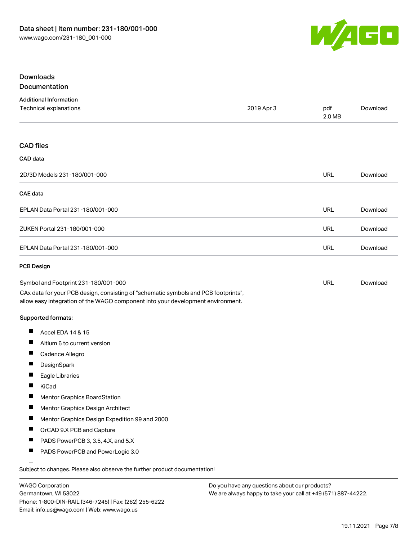![](_page_6_Picture_1.jpeg)

#### Downloads Documentation

| povanjenacion |  |  |  |  |  |  |  |  |
|---------------|--|--|--|--|--|--|--|--|
|               |  |  |  |  |  |  |  |  |
|               |  |  |  |  |  |  |  |  |

| <b>Additional Information</b><br>Technical explanations                                                                                                                | 2019 Apr 3 | pdf<br>2.0 MB | Download |  |
|------------------------------------------------------------------------------------------------------------------------------------------------------------------------|------------|---------------|----------|--|
|                                                                                                                                                                        |            |               |          |  |
| <b>CAD files</b>                                                                                                                                                       |            |               |          |  |
| CAD data                                                                                                                                                               |            |               |          |  |
| 2D/3D Models 231-180/001-000                                                                                                                                           |            | <b>URL</b>    | Download |  |
| CAE data                                                                                                                                                               |            |               |          |  |
| EPLAN Data Portal 231-180/001-000                                                                                                                                      |            | <b>URL</b>    | Download |  |
| ZUKEN Portal 231-180/001-000                                                                                                                                           |            | <b>URL</b>    | Download |  |
| EPLAN Data Portal 231-180/001-000                                                                                                                                      |            | <b>URL</b>    | Download |  |
| <b>PCB Design</b>                                                                                                                                                      |            |               |          |  |
| Symbol and Footprint 231-180/001-000                                                                                                                                   |            | <b>URL</b>    | Download |  |
| CAx data for your PCB design, consisting of "schematic symbols and PCB footprints",<br>allow easy integration of the WAGO component into your development environment. |            |               |          |  |
| Supported formats:                                                                                                                                                     |            |               |          |  |
| Accel EDA 14 & 15<br>H                                                                                                                                                 |            |               |          |  |
| ш<br>Altium 6 to current version                                                                                                                                       |            |               |          |  |
| ш<br>Cadence Allegro                                                                                                                                                   |            |               |          |  |
| DesignSpark<br>ш                                                                                                                                                       |            |               |          |  |
| П<br>Eagle Libraries                                                                                                                                                   |            |               |          |  |
| Ш<br>KiCad                                                                                                                                                             |            |               |          |  |
| Mentor Graphics BoardStation                                                                                                                                           |            |               |          |  |
| ш<br>Mentor Graphics Design Architect                                                                                                                                  |            |               |          |  |
| Mentor Graphics Design Expedition 99 and 2000<br>ш                                                                                                                     |            |               |          |  |
| OrCAD 9.X PCB and Capture                                                                                                                                              |            |               |          |  |
| PADS PowerPCB 3, 3.5, 4.X, and 5.X<br>ш                                                                                                                                |            |               |          |  |
| ш<br>PADS PowerPCB and PowerLogic 3.0                                                                                                                                  |            |               |          |  |
| Subject to changes. Please also observe the further product documentation!                                                                                             |            |               |          |  |

WAGO Corporation Germantown, WI 53022 Phone: 1-800-DIN-RAIL (346-7245) | Fax: (262) 255-6222 Email: info.us@wago.com | Web: www.wago.us